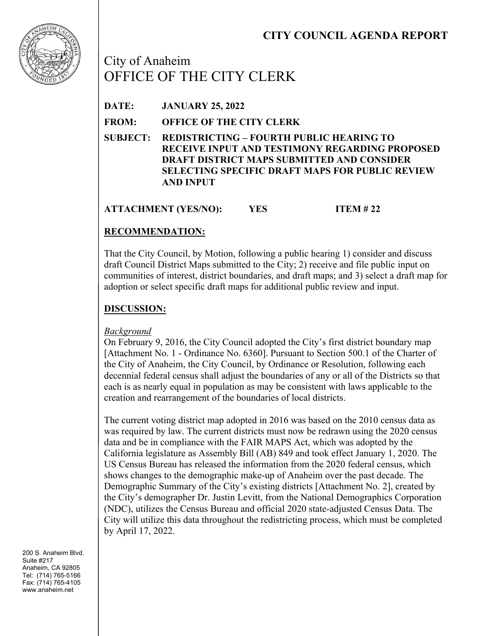

City of Anaheim OFFICE OF THE CITY CLERK

**DATE: JANUARY 25, 2022**

**FROM: OFFICE OF THE CITY CLERK**

**SUBJECT: REDISTRICTING – FOURTH PUBLIC HEARING TO RECEIVE INPUT AND TESTIMONY REGARDING PROPOSED DRAFT DISTRICT MAPS SUBMITTED AND CONSIDER SELECTING SPECIFIC DRAFT MAPS FOR PUBLIC REVIEW AND INPUT**

**ATTACHMENT (YES/NO): YES ITEM # 22**

# **RECOMMENDATION:**

That the City Council, by Motion, following a public hearing 1) consider and discuss draft Council District Maps submitted to the City; 2) receive and file public input on communities of interest, district boundaries, and draft maps; and 3) select a draft map for adoption or select specific draft maps for additional public review and input.

# **DISCUSSION:**

## *Background*

On February 9, 2016, the City Council adopted the City's first district boundary map [Attachment No. 1 - Ordinance No. 6360]. Pursuant to Section 500.1 of the Charter of the City of Anaheim, the City Council, by Ordinance or Resolution, following each decennial federal census shall adjust the boundaries of any or all of the Districts so that each is as nearly equal in population as may be consistent with laws applicable to the creation and rearrangement of the boundaries of local districts.

The current voting district map adopted in 2016 was based on the 2010 census data as was required by law. The current districts must now be redrawn using the 2020 census data and be in compliance with the FAIR MAPS Act, which was adopted by the California legislature as Assembly Bill (AB) 849 and took effect January 1, 2020. The US Census Bureau has released the information from the 2020 federal census, which shows changes to the demographic make-up of Anaheim over the past decade. The Demographic Summary of the City's existing districts [Attachment No. 2], created by the City's demographer Dr. Justin Levitt, from the National Demographics Corporation (NDC), utilizes the Census Bureau and official 2020 state-adjusted Census Data. The City will utilize this data throughout the redistricting process, which must be completed by April 17, 2022.

200 S. Anaheim Blvd. Suite #217 Anaheim, CA 92805 Tel: (714) 765-5166 Fax: (714) 765-4105 www.anaheim.net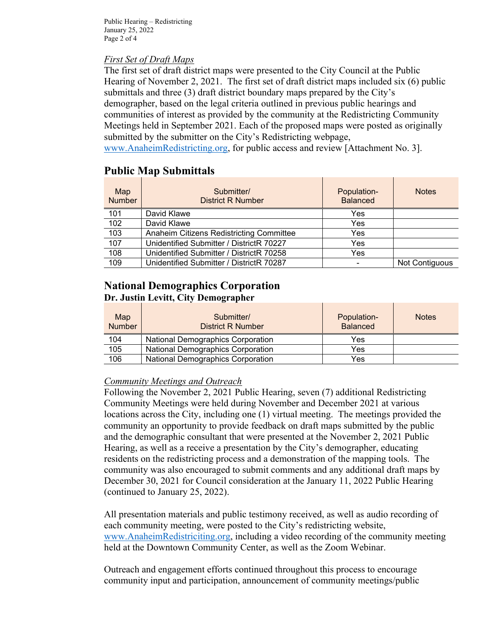Public Hearing – Redistricting January 25, 2022 Page 2 of 4

#### *First Set of Draft Maps*

The first set of draft district maps were presented to the City Council at the Public Hearing of November 2, 2021. The first set of draft district maps included six (6) public submittals and three (3) draft district boundary maps prepared by the City's demographer, based on the legal criteria outlined in previous public hearings and communities of interest as provided by the community at the Redistricting Community Meetings held in September 2021. Each of the proposed maps were posted as originally submitted by the submitter on the City's Redistricting webpage,

www.AnaheimRedistricting.org, for public access and review [Attachment No. 3].

# **Public Map Submittals**

| Map<br><b>Number</b> | Submitter/<br><b>District R Number</b>   | Population-<br><b>Balanced</b> | <b>Notes</b>   |
|----------------------|------------------------------------------|--------------------------------|----------------|
| 101                  | David Klawe                              | Yes                            |                |
| 102                  | David Klawe                              | Yes                            |                |
| 103                  | Anaheim Citizens Redistricting Committee | Yes                            |                |
| 107                  | Unidentified Submitter / DistrictR 70227 | Yes                            |                |
| 108                  | Unidentified Submitter / DistrictR 70258 | Yes                            |                |
| 109                  | Unidentified Submitter / DistrictR 70287 | $\overline{\phantom{0}}$       | Not Contiguous |

# **National Demographics Corporation Dr. Justin Levitt, City Demographer**

| Map<br><b>Number</b> | Submitter/<br>District R Number          | Population-<br><b>Balanced</b> | <b>Notes</b> |
|----------------------|------------------------------------------|--------------------------------|--------------|
| 104                  | <b>National Demographics Corporation</b> | Yes                            |              |
| $\overline{105}$     | <b>National Demographics Corporation</b> | Yes                            |              |
| $\overline{106}$     | <b>National Demographics Corporation</b> | Yes                            |              |

### *Community Meetings and Outreach*

Following the November 2, 2021 Public Hearing, seven (7) additional Redistricting Community Meetings were held during November and December 2021 at various locations across the City, including one (1) virtual meeting. The meetings provided the community an opportunity to provide feedback on draft maps submitted by the public and the demographic consultant that were presented at the November 2, 2021 Public Hearing, as well as a receive a presentation by the City's demographer, educating residents on the redistricting process and a demonstration of the mapping tools. The community was also encouraged to submit comments and any additional draft maps by December 30, 2021 for Council consideration at the January 11, 2022 Public Hearing (continued to January 25, 2022).

All presentation materials and public testimony received, as well as audio recording of each community meeting, were posted to the City's redistricting website, www.AnaheimRedistriciting.org, including a video recording of the community meeting held at the Downtown Community Center, as well as the Zoom Webinar.

Outreach and engagement efforts continued throughout this process to encourage community input and participation, announcement of community meetings/public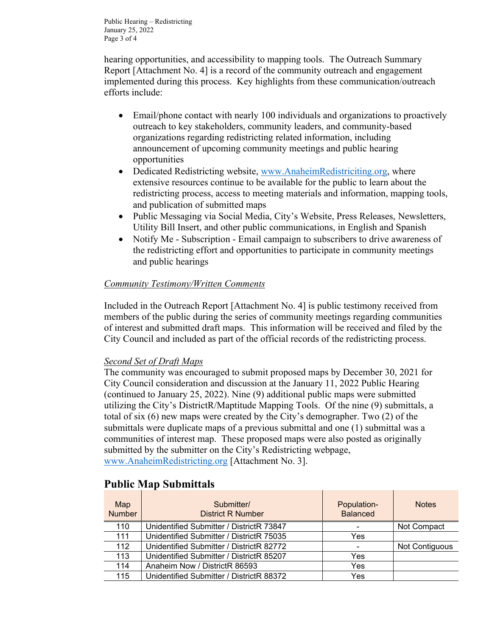Public Hearing – Redistricting January 25, 2022 Page 3 of 4

hearing opportunities, and accessibility to mapping tools. The Outreach Summary Report [Attachment No. 4] is a record of the community outreach and engagement implemented during this process. Key highlights from these communication/outreach efforts include:

- Email/phone contact with nearly 100 individuals and organizations to proactively outreach to key stakeholders, community leaders, and community-based organizations regarding redistricting related information, including announcement of upcoming community meetings and public hearing opportunities
- Dedicated Redistricting website, www.AnaheimRedistriciting.org, where extensive resources continue to be available for the public to learn about the redistricting process, access to meeting materials and information, mapping tools, and publication of submitted maps
- Public Messaging via Social Media, City's Website, Press Releases, Newsletters, Utility Bill Insert, and other public communications, in English and Spanish
- Notify Me Subscription Email campaign to subscribers to drive awareness of the redistricting effort and opportunities to participate in community meetings and public hearings

### *Community Testimony/Written Comments*

Included in the Outreach Report [Attachment No. 4] is public testimony received from members of the public during the series of community meetings regarding communities of interest and submitted draft maps. This information will be received and filed by the City Council and included as part of the official records of the redistricting process.

### *Second Set of Draft Maps*

The community was encouraged to submit proposed maps by December 30, 2021 for City Council consideration and discussion at the January 11, 2022 Public Hearing (continued to January 25, 2022). Nine (9) additional public maps were submitted utilizing the City's DistrictR/Maptitude Mapping Tools. Of the nine (9) submittals, a total of six (6) new maps were created by the City's demographer. Two (2) of the submittals were duplicate maps of a previous submittal and one (1) submittal was a communities of interest map. These proposed maps were also posted as originally submitted by the submitter on the City's Redistricting webpage, www.AnaheimRedistricting.org [Attachment No. 3].

| Map<br><b>Number</b> | Submitter/<br><b>District R Number</b>   | Population-<br><b>Balanced</b> | <b>Notes</b>   |
|----------------------|------------------------------------------|--------------------------------|----------------|
| 110                  | Unidentified Submitter / DistrictR 73847 |                                | Not Compact    |
| 111                  | Unidentified Submitter / DistrictR 75035 | Yes                            |                |
| 112                  | Unidentified Submitter / DistrictR 82772 |                                | Not Contiguous |
| 113                  | Unidentified Submitter / DistrictR 85207 | Yes                            |                |
| 114                  | Anaheim Now / DistrictR 86593            | Yes                            |                |
| 115                  | Unidentified Submitter / DistrictR 88372 | Yes                            |                |

## **Public Map Submittals**